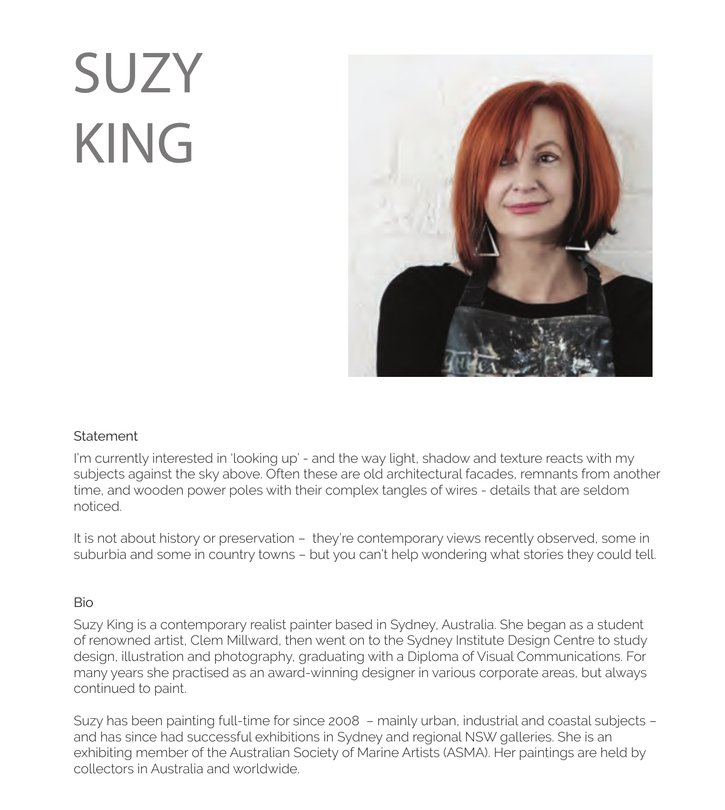## SUZY KING



## **Statement**

I'm currently interested in 'looking up' - and the way light, shadow and texture reacts with my subjects against the sky above. Often these are old architectural facades, remnants from another time, and wooden power poles with their complex tangles of wires - details that are seldom noticed.

It is not about history or preservation – they're contemporary views recently observed, some in suburbia and some in country towns – but you can't help wondering what stories they could tell.

## Bio

Suzy King is a contemporary realist painter based in Sydney, Australia. She began as a student of renowned artist, Clem Millward, then went on to the Sydney Institute Design Centre to study design, illustration and photography, graduating with a Diploma of Visual Communications. For many years she practised as an award-winning designer in various corporate areas, but always continued to paint.

Suzy has been painting full-time for since 2008 – mainly urban, industrial and coastal subjects – and has since had successful exhibitions in Sydney and regional NSW galleries. She is an exhibiting member of the Australian Society of Marine Artists (ASMA). Her paintings are held by collectors in Australia and worldwide.